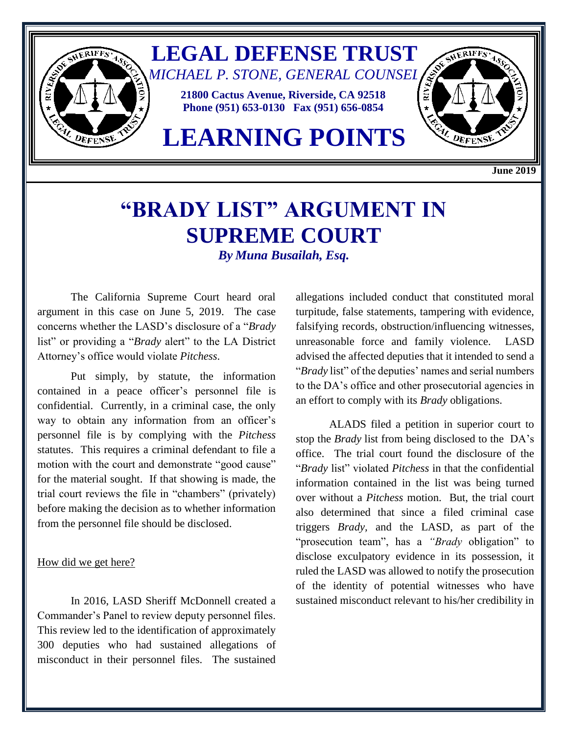

**June 2019**

## **"BRADY LIST" ARGUMENT IN SUPREME COURT** *By Muna Busailah, Esq.*

The California Supreme Court heard oral argument in this case on June 5, 2019. The case concerns whether the LASD's disclosure of a "*Brady* list" or providing a "*Brady* alert" to the LA District Attorney's office would violate *Pitchess*.

Put simply, by statute, the information contained in a peace officer's personnel file is confidential. Currently, in a criminal case, the only way to obtain any information from an officer's personnel file is by complying with the *Pitchess* statutes. This requires a criminal defendant to file a motion with the court and demonstrate "good cause" for the material sought. If that showing is made, the trial court reviews the file in "chambers" (privately) before making the decision as to whether information from the personnel file should be disclosed.

## How did we get here?

In 2016, LASD Sheriff McDonnell created a Commander's Panel to review deputy personnel files. This review led to the identification of approximately 300 deputies who had sustained allegations of misconduct in their personnel files. The sustained allegations included conduct that constituted moral turpitude, false statements, tampering with evidence, falsifying records, obstruction/influencing witnesses, unreasonable force and family violence. LASD advised the affected deputies that it intended to send a "*Brady* list" of the deputies' names and serial numbers to the DA's office and other prosecutorial agencies in an effort to comply with its *Brady* obligations.

ALADS filed a petition in superior court to stop the *Brady* list from being disclosed to the DA's office. The trial court found the disclosure of the "*Brady* list" violated *Pitchess* in that the confidential information contained in the list was being turned over without a *Pitchess* motion. But, the trial court also determined that since a filed criminal case triggers *Brady,* and the LASD, as part of the "prosecution team", has a *"Brady* obligation" to disclose exculpatory evidence in its possession, it ruled the LASD was allowed to notify the prosecution of the identity of potential witnesses who have sustained misconduct relevant to his/her credibility in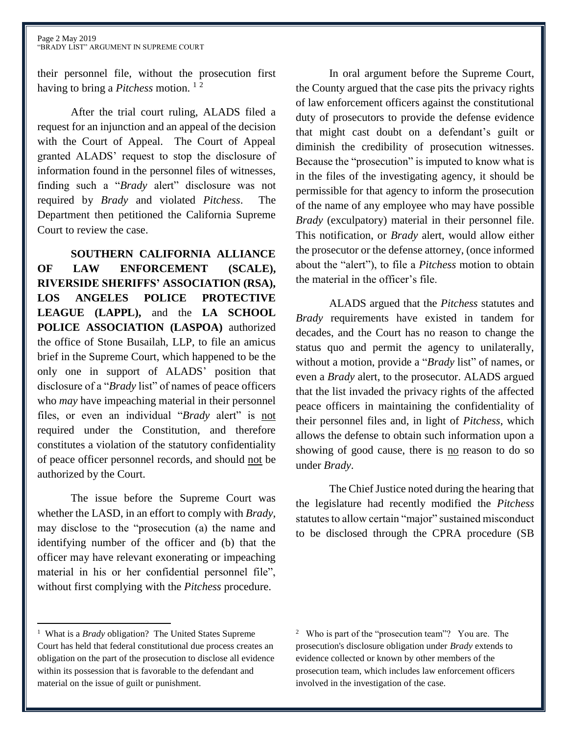their personnel file, without the prosecution first having to bring a *Pitchess* motion. <sup>1</sup> <sup>2</sup>

After the trial court ruling, ALADS filed a request for an injunction and an appeal of the decision with the Court of Appeal. The Court of Appeal granted ALADS' request to stop the disclosure of information found in the personnel files of witnesses, finding such a "*Brady* alert" disclosure was not required by *Brady* and violated *Pitchess*. The Department then petitioned the California Supreme Court to review the case.

**SOUTHERN CALIFORNIA ALLIANCE OF LAW ENFORCEMENT (SCALE), RIVERSIDE SHERIFFS' ASSOCIATION (RSA), LOS ANGELES POLICE PROTECTIVE LEAGUE (LAPPL),** and the **LA SCHOOL POLICE ASSOCIATION (LASPOA)** authorized the office of Stone Busailah, LLP, to file an amicus brief in the Supreme Court, which happened to be the only one in support of ALADS' position that disclosure of a "*Brady* list" of names of peace officers who *may* have impeaching material in their personnel files, or even an individual "*Brady* alert" is not required under the Constitution, and therefore constitutes a violation of the statutory confidentiality of peace officer personnel records, and should not be authorized by the Court.

The issue before the Supreme Court was whether the LASD, in an effort to comply with *Brady*, may disclose to the "prosecution (a) the name and identifying number of the officer and (b) that the officer may have relevant exonerating or impeaching material in his or her confidential personnel file", without first complying with the *Pitchess* procedure.

In oral argument before the Supreme Court, the County argued that the case pits the privacy rights of law enforcement officers against the constitutional duty of prosecutors to provide the defense evidence that might cast doubt on a defendant's guilt or diminish the credibility of prosecution witnesses. Because the "prosecution" is imputed to know what is in the files of the investigating agency, it should be permissible for that agency to inform the prosecution of the name of any employee who may have possible *Brady* (exculpatory) material in their personnel file. This notification, or *Brady* alert, would allow either the prosecutor or the defense attorney, (once informed about the "alert"), to file a *Pitchess* motion to obtain the material in the officer's file.

ALADS argued that the *Pitchess* statutes and *Brady* requirements have existed in tandem for decades, and the Court has no reason to change the status quo and permit the agency to unilaterally, without a motion, provide a "*Brady* list" of names, or even a *Brady* alert, to the prosecutor. ALADS argued that the list invaded the privacy rights of the affected peace officers in maintaining the confidentiality of their personnel files and, in light of *Pitchess*, which allows the defense to obtain such information upon a showing of good cause, there is no reason to do so under *Brady*.

The Chief Justice noted during the hearing that the legislature had recently modified the *Pitchess* statutes to allow certain "major" sustained misconduct to be disclosed through the CPRA procedure (SB

 $\overline{a}$ 

<sup>&</sup>lt;sup>1</sup> What is a *Brady* obligation? The United States Supreme Court has held that federal constitutional due process creates an obligation on the part of the prosecution to disclose all evidence within its possession that is favorable to the defendant and material on the issue of guilt or punishment.

<sup>2</sup> Who is part of the "prosecution team"? You are. The prosecution's disclosure obligation under *Brady* extends to evidence collected or known by other members of the prosecution team*,* which includes law enforcement officers involved in the investigation of the case.